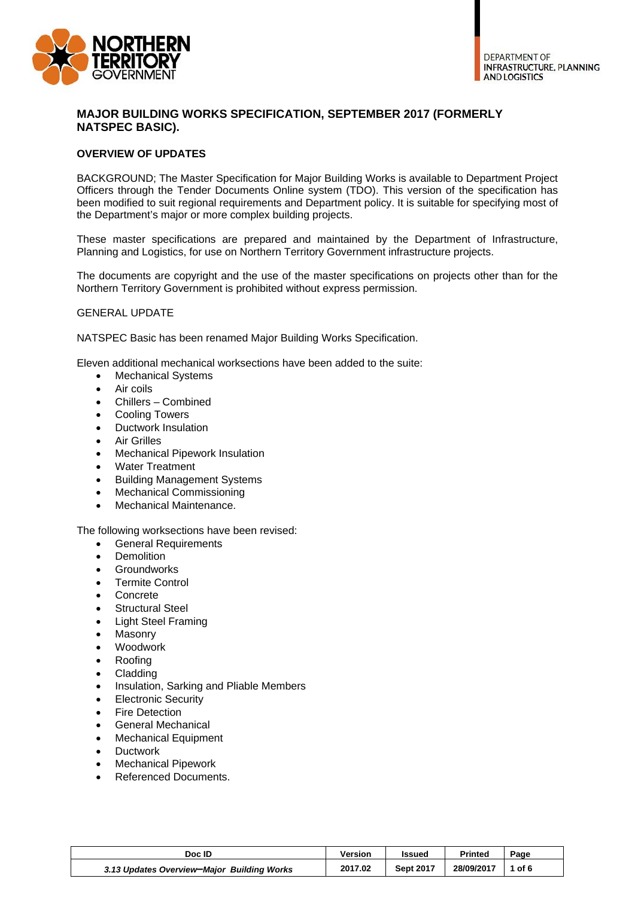

# **MAJOR BUILDING WORKS SPECIFICATION, SEPTEMBER 2017 (FORMERLY NATSPEC BASIC).**

## **OVERVIEW OF UPDATES**

BACKGROUND; The Master Specification for Major Building Works is available to Department Project Officers through the Tender Documents Online system (TDO). This version of the specification has been modified to suit regional requirements and Department policy. It is suitable for specifying most of the Department's major or more complex building projects.

These master specifications are prepared and maintained by the Department of Infrastructure, Planning and Logistics, for use on Northern Territory Government infrastructure projects.

The documents are copyright and the use of the master specifications on projects other than for the Northern Territory Government is prohibited without express permission.

### GENERAL UPDATE

NATSPEC Basic has been renamed Major Building Works Specification.

Eleven additional mechanical worksections have been added to the suite:

- Mechanical Systems
- Air coils
- Chillers Combined
- Cooling Towers
- Ductwork Insulation
- Air Grilles
- Mechanical Pipework Insulation
- Water Treatment
- Building Management Systems
- Mechanical Commissioning
- Mechanical Maintenance.

#### The following worksections have been revised:

- General Requirements
- Demolition
- **•** Groundworks
- Termite Control
- Concrete
- **•** Structural Steel
- Light Steel Framing
- Masonry
- Woodwork
- Roofing
- Cladding
- Insulation, Sarking and Pliable Members
- Electronic Security
- **•** Fire Detection
- General Mechanical
- Mechanical Equipment
- Ductwork
- Mechanical Pipework
- Referenced Documents.

| Doc ID                                     | <b>Version</b> | Issued           | <b>Printed</b> | Page |
|--------------------------------------------|----------------|------------------|----------------|------|
| 3.13 Updates Overview-Major Building Works | 2017.02        | <b>Sept 2017</b> | 28/09/2017     | of 6 |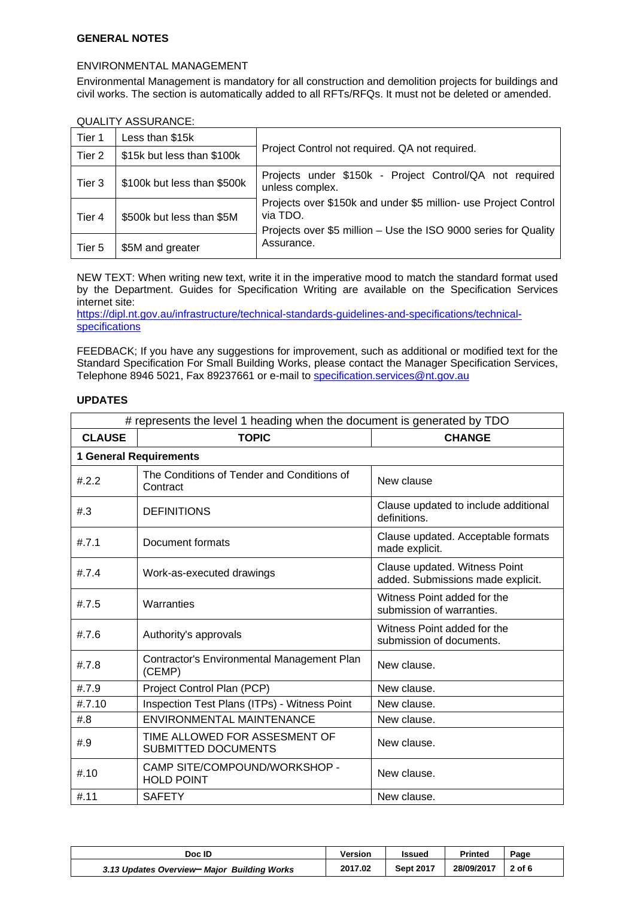## **GENERAL NOTES**

### ENVIRONMENTAL MANAGEMENT

Environmental Management is mandatory for all construction and demolition projects for buildings and civil works. The section is automatically added to all RFTs/RFQs. It must not be deleted or amended.

### QUALITY ASSURANCE:

| Tier 1 | Less than \$15k             |                                                                                                                                                |
|--------|-----------------------------|------------------------------------------------------------------------------------------------------------------------------------------------|
| Tier 2 | \$15k but less than \$100k  | Project Control not required. QA not required.                                                                                                 |
| Tier 3 | \$100k but less than \$500k | Projects under \$150k - Project Control/QA not required<br>unless complex.                                                                     |
| Tier 4 | \$500k but less than \$5M   | Projects over \$150k and under \$5 million- use Project Control<br>via TDO.<br>Projects over \$5 million - Use the ISO 9000 series for Quality |
| Tier 5 | \$5M and greater            | Assurance.                                                                                                                                     |

NEW TEXT: When writing new text, write it in the imperative mood to match the standard format used by the Department. Guides for Specification Writing are available on the Specification Services internet site:

https://dipl.nt.gov.au/infrastructure/technical-standards-guidelines-and-specifications/technicalspecifications

FEEDBACK; If you have any suggestions for improvement, such as additional or modified text for the Standard Specification For Small Building Works, please contact the Manager Specification Services, Telephone 8946 5021, Fax 89237661 or e-mail to specification.services@nt.gov.au

## **UPDATES**

| # represents the level 1 heading when the document is generated by TDO |                                                             |                                                                    |  |  |
|------------------------------------------------------------------------|-------------------------------------------------------------|--------------------------------------------------------------------|--|--|
| <b>CLAUSE</b>                                                          | <b>TOPIC</b>                                                | <b>CHANGE</b>                                                      |  |  |
|                                                                        | <b>1 General Requirements</b>                               |                                                                    |  |  |
| #.2.2                                                                  | The Conditions of Tender and Conditions of<br>Contract      | New clause                                                         |  |  |
| #3                                                                     | <b>DEFINITIONS</b>                                          | Clause updated to include additional<br>definitions.               |  |  |
| #.7.1                                                                  | Document formats                                            | Clause updated. Acceptable formats<br>made explicit.               |  |  |
| #7.4                                                                   | Work-as-executed drawings                                   | Clause updated. Witness Point<br>added. Submissions made explicit. |  |  |
| #.7.5                                                                  | Warranties                                                  | Witness Point added for the<br>submission of warranties.           |  |  |
| #.7.6                                                                  | Authority's approvals                                       | Witness Point added for the<br>submission of documents.            |  |  |
| #.7.8                                                                  | Contractor's Environmental Management Plan<br>(CEMP)        | New clause.                                                        |  |  |
| #.7.9                                                                  | Project Control Plan (PCP)                                  | New clause.                                                        |  |  |
| #.7.10                                                                 | Inspection Test Plans (ITPs) - Witness Point                | New clause.                                                        |  |  |
| #.8                                                                    | <b>ENVIRONMENTAL MAINTENANCE</b>                            | New clause.                                                        |  |  |
| #.9                                                                    | TIME ALLOWED FOR ASSESMENT OF<br><b>SUBMITTED DOCUMENTS</b> | New clause.                                                        |  |  |
| #.10                                                                   | CAMP SITE/COMPOUND/WORKSHOP -<br><b>HOLD POINT</b>          | New clause.                                                        |  |  |
| #.11                                                                   | <b>SAFETY</b>                                               | New clause.                                                        |  |  |

| Doc ID                                      | <b>Version</b> | Issued           | Printed    | Page     |
|---------------------------------------------|----------------|------------------|------------|----------|
| 3.13 Updates Overview- Major Building Works | 2017.02        | <b>Sept 2017</b> | 28/09/2017 | $2$ of 6 |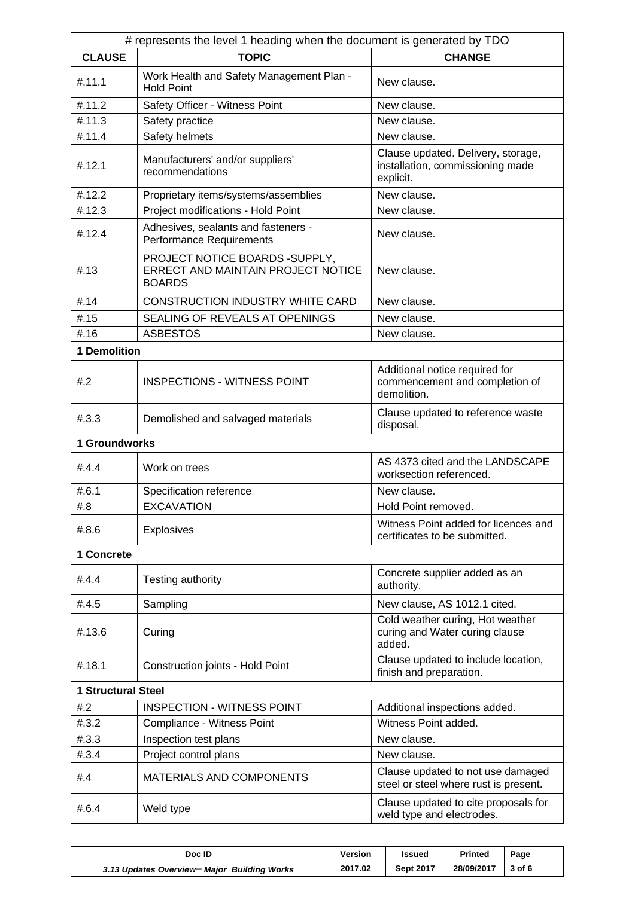| # represents the level 1 heading when the document is generated by TDO |                                                                                        |                                                                                     |  |  |
|------------------------------------------------------------------------|----------------------------------------------------------------------------------------|-------------------------------------------------------------------------------------|--|--|
| <b>CLAUSE</b>                                                          | <b>TOPIC</b>                                                                           | <b>CHANGE</b>                                                                       |  |  |
| #.11.1                                                                 | Work Health and Safety Management Plan -<br><b>Hold Point</b>                          | New clause.                                                                         |  |  |
| #.11.2                                                                 | Safety Officer - Witness Point                                                         | New clause.                                                                         |  |  |
| #.11.3                                                                 | Safety practice                                                                        | New clause.                                                                         |  |  |
| #.11.4                                                                 | Safety helmets                                                                         | New clause.                                                                         |  |  |
| #.12.1                                                                 | Manufacturers' and/or suppliers'<br>recommendations                                    | Clause updated. Delivery, storage,<br>installation, commissioning made<br>explicit. |  |  |
| #.12.2                                                                 | Proprietary items/systems/assemblies                                                   | New clause.                                                                         |  |  |
| #.12.3                                                                 | Project modifications - Hold Point                                                     | New clause.                                                                         |  |  |
| #.12.4                                                                 | Adhesives, sealants and fasteners -<br>Performance Requirements                        | New clause.                                                                         |  |  |
| #.13                                                                   | PROJECT NOTICE BOARDS - SUPPLY,<br>ERRECT AND MAINTAIN PROJECT NOTICE<br><b>BOARDS</b> | New clause.                                                                         |  |  |
| #.14                                                                   | <b>CONSTRUCTION INDUSTRY WHITE CARD</b>                                                | New clause.                                                                         |  |  |
| #.15                                                                   | SEALING OF REVEALS AT OPENINGS                                                         | New clause.                                                                         |  |  |
| #.16                                                                   | <b>ASBESTOS</b>                                                                        | New clause.                                                                         |  |  |
| 1 Demolition                                                           |                                                                                        |                                                                                     |  |  |
| #2                                                                     | <b>INSPECTIONS - WITNESS POINT</b>                                                     | Additional notice required for<br>commencement and completion of<br>demolition.     |  |  |
| #3.3                                                                   | Demolished and salvaged materials                                                      | Clause updated to reference waste<br>disposal.                                      |  |  |
| 1 Groundworks                                                          |                                                                                        |                                                                                     |  |  |
| #.4.4                                                                  | Work on trees                                                                          | AS 4373 cited and the LANDSCAPE<br>worksection referenced.                          |  |  |
| #6.1                                                                   | Specification reference                                                                | New clause.                                                                         |  |  |
| #.8                                                                    | <b>EXCAVATION</b>                                                                      | Hold Point removed.                                                                 |  |  |
| #.8.6                                                                  | <b>Explosives</b>                                                                      | Witness Point added for licences and<br>certificates to be submitted.               |  |  |
| 1 Concrete                                                             |                                                                                        |                                                                                     |  |  |
| #.4.4                                                                  | Testing authority                                                                      | Concrete supplier added as an<br>authority.                                         |  |  |
| #.4.5                                                                  | Sampling                                                                               | New clause, AS 1012.1 cited.                                                        |  |  |
| #.13.6                                                                 | Curing                                                                                 | Cold weather curing, Hot weather<br>curing and Water curing clause<br>added.        |  |  |
| #.18.1                                                                 | Construction joints - Hold Point                                                       | Clause updated to include location,<br>finish and preparation.                      |  |  |
| <b>1 Structural Steel</b>                                              |                                                                                        |                                                                                     |  |  |
| #2                                                                     | <b>INSPECTION - WITNESS POINT</b>                                                      | Additional inspections added.                                                       |  |  |
| #.3.2                                                                  | Compliance - Witness Point                                                             | Witness Point added.                                                                |  |  |
| #.3.3                                                                  | Inspection test plans                                                                  | New clause.                                                                         |  |  |
| # .3.4                                                                 | Project control plans                                                                  | New clause.                                                                         |  |  |
| #.4                                                                    | <b>MATERIALS AND COMPONENTS</b>                                                        | Clause updated to not use damaged<br>steel or steel where rust is present.          |  |  |
| #.6.4                                                                  | Weld type                                                                              | Clause updated to cite proposals for<br>weld type and electrodes.                   |  |  |

| Doc ID                                      | <b>Version</b> | Issued           | Printed    | Page       |
|---------------------------------------------|----------------|------------------|------------|------------|
| 3.13 Updates Overview- Major Building Works | 2017.02        | <b>Sept 2017</b> | 28/09/2017 | $3$ of $6$ |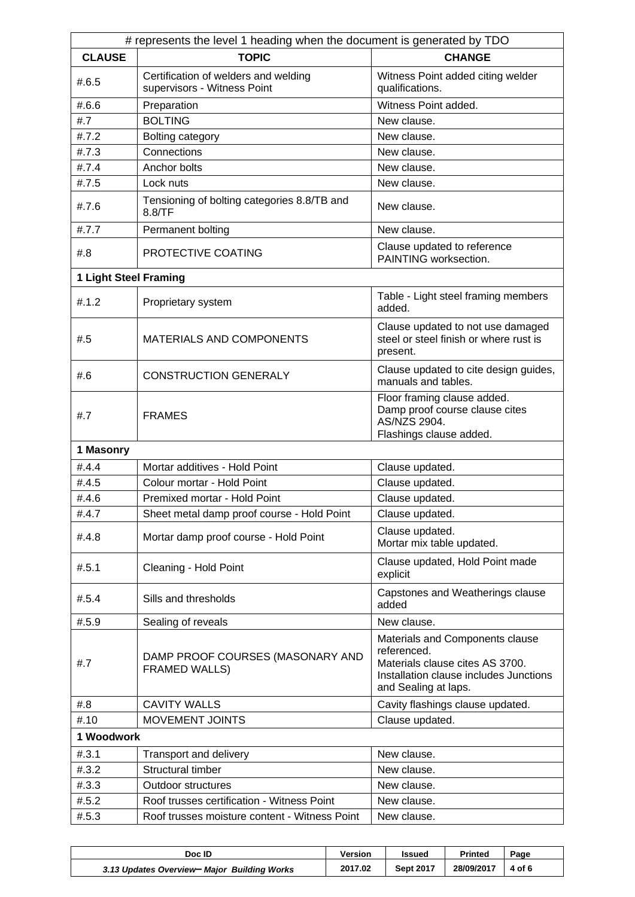| # represents the level 1 heading when the document is generated by TDO |                                                                     |                                                                                                                                                     |  |  |  |
|------------------------------------------------------------------------|---------------------------------------------------------------------|-----------------------------------------------------------------------------------------------------------------------------------------------------|--|--|--|
| <b>CLAUSE</b>                                                          | <b>TOPIC</b>                                                        | <b>CHANGE</b>                                                                                                                                       |  |  |  |
| #.6.5                                                                  | Certification of welders and welding<br>supervisors - Witness Point | Witness Point added citing welder<br>qualifications.                                                                                                |  |  |  |
| #.6.6                                                                  | Preparation                                                         | Witness Point added.                                                                                                                                |  |  |  |
| #.7                                                                    | <b>BOLTING</b>                                                      | New clause.                                                                                                                                         |  |  |  |
| #.7.2                                                                  | Bolting category                                                    | New clause.                                                                                                                                         |  |  |  |
| #.7.3                                                                  | Connections                                                         | New clause.                                                                                                                                         |  |  |  |
| #.7.4                                                                  | Anchor bolts                                                        | New clause.                                                                                                                                         |  |  |  |
| #.7.5                                                                  | Lock nuts                                                           | New clause.                                                                                                                                         |  |  |  |
| #.7.6                                                                  | Tensioning of bolting categories 8.8/TB and<br>8.8/TF               | New clause.                                                                                                                                         |  |  |  |
| #.7.7                                                                  | Permanent bolting                                                   | New clause.                                                                                                                                         |  |  |  |
| #.8                                                                    | PROTECTIVE COATING                                                  | Clause updated to reference<br>PAINTING worksection.                                                                                                |  |  |  |
| 1 Light Steel Framing                                                  |                                                                     |                                                                                                                                                     |  |  |  |
| #.1.2                                                                  | Proprietary system                                                  | Table - Light steel framing members<br>added.                                                                                                       |  |  |  |
| #.5                                                                    | <b>MATERIALS AND COMPONENTS</b>                                     | Clause updated to not use damaged<br>steel or steel finish or where rust is<br>present.                                                             |  |  |  |
| #.6                                                                    | <b>CONSTRUCTION GENERALY</b>                                        | Clause updated to cite design guides,<br>manuals and tables.                                                                                        |  |  |  |
| #.7                                                                    | <b>FRAMES</b>                                                       | Floor framing clause added.<br>Damp proof course clause cites<br>AS/NZS 2904.<br>Flashings clause added.                                            |  |  |  |
| 1 Masonry                                                              |                                                                     |                                                                                                                                                     |  |  |  |
| #.4.4                                                                  | Mortar additives - Hold Point                                       | Clause updated.                                                                                                                                     |  |  |  |
| #.4.5                                                                  | Colour mortar - Hold Point                                          | Clause updated.                                                                                                                                     |  |  |  |
| #.4.6                                                                  | Premixed mortar - Hold Point                                        | Clause updated.                                                                                                                                     |  |  |  |
| #.4.7                                                                  | Sheet metal damp proof course - Hold Point                          | Clause updated.                                                                                                                                     |  |  |  |
| #.4.8                                                                  | Mortar damp proof course - Hold Point                               | Clause updated.<br>Mortar mix table updated.                                                                                                        |  |  |  |
| #.5.1                                                                  | Cleaning - Hold Point                                               | Clause updated, Hold Point made<br>explicit                                                                                                         |  |  |  |
| #.5.4                                                                  | Sills and thresholds                                                | Capstones and Weatherings clause<br>added                                                                                                           |  |  |  |
| #.5.9                                                                  | Sealing of reveals                                                  | New clause.                                                                                                                                         |  |  |  |
| #.7                                                                    | DAMP PROOF COURSES (MASONARY AND<br>FRAMED WALLS)                   | Materials and Components clause<br>referenced.<br>Materials clause cites AS 3700.<br>Installation clause includes Junctions<br>and Sealing at laps. |  |  |  |
| #.8                                                                    | <b>CAVITY WALLS</b>                                                 | Cavity flashings clause updated.                                                                                                                    |  |  |  |
| #.10                                                                   | MOVEMENT JOINTS                                                     | Clause updated.                                                                                                                                     |  |  |  |
| 1 Woodwork                                                             |                                                                     |                                                                                                                                                     |  |  |  |
| #.3.1                                                                  | Transport and delivery                                              | New clause.                                                                                                                                         |  |  |  |
| #.3.2                                                                  | Structural timber                                                   | New clause.                                                                                                                                         |  |  |  |
| #.3.3                                                                  | <b>Outdoor structures</b>                                           | New clause.                                                                                                                                         |  |  |  |
| #.5.2                                                                  | Roof trusses certification - Witness Point                          | New clause.                                                                                                                                         |  |  |  |
| #.5.3                                                                  | Roof trusses moisture content - Witness Point                       | New clause.                                                                                                                                         |  |  |  |

| Doc ID                                      | Version | <b>Issued</b>    | <b>Printed</b> | Page   |  |
|---------------------------------------------|---------|------------------|----------------|--------|--|
| 3.13 Updates Overview- Major Building Works | 2017.02 | <b>Sept 2017</b> | 28/09/2017     | 4 of 6 |  |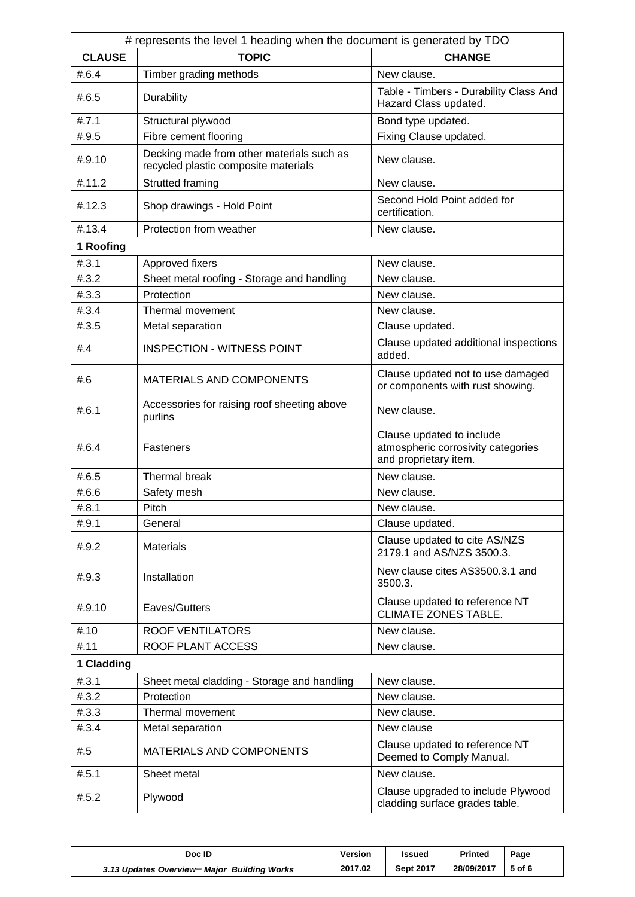| # represents the level 1 heading when the document is generated by TDO |                                                                                   |                                                                                          |  |  |
|------------------------------------------------------------------------|-----------------------------------------------------------------------------------|------------------------------------------------------------------------------------------|--|--|
| <b>CLAUSE</b>                                                          | <b>TOPIC</b>                                                                      | <b>CHANGE</b>                                                                            |  |  |
| #.6.4                                                                  | Timber grading methods                                                            | New clause.                                                                              |  |  |
| #.6.5                                                                  | Durability                                                                        | Table - Timbers - Durability Class And<br>Hazard Class updated.                          |  |  |
| #.7.1                                                                  | Structural plywood                                                                | Bond type updated.                                                                       |  |  |
| #.9.5                                                                  | Fibre cement flooring                                                             | Fixing Clause updated.                                                                   |  |  |
| #.9.10                                                                 | Decking made from other materials such as<br>recycled plastic composite materials | New clause.                                                                              |  |  |
| #.11.2                                                                 | Strutted framing                                                                  | New clause.                                                                              |  |  |
| #.12.3                                                                 | Shop drawings - Hold Point                                                        | Second Hold Point added for<br>certification.                                            |  |  |
| #.13.4                                                                 | Protection from weather                                                           | New clause.                                                                              |  |  |
| 1 Roofing                                                              |                                                                                   |                                                                                          |  |  |
| #.3.1                                                                  | Approved fixers                                                                   | New clause.                                                                              |  |  |
| #.3.2                                                                  | Sheet metal roofing - Storage and handling                                        | New clause.                                                                              |  |  |
| #3.3                                                                   | Protection                                                                        | New clause.                                                                              |  |  |
| # .3.4                                                                 | Thermal movement                                                                  | New clause.                                                                              |  |  |
| #.3.5                                                                  | Metal separation                                                                  | Clause updated.                                                                          |  |  |
| #.4                                                                    | <b>INSPECTION - WITNESS POINT</b>                                                 | Clause updated additional inspections<br>added.                                          |  |  |
| #.6                                                                    | MATERIALS AND COMPONENTS                                                          | Clause updated not to use damaged<br>or components with rust showing.                    |  |  |
| #6.1                                                                   | Accessories for raising roof sheeting above<br>purlins                            | New clause.                                                                              |  |  |
| #6.4                                                                   | Fasteners                                                                         | Clause updated to include<br>atmospheric corrosivity categories<br>and proprietary item. |  |  |
| #.6.5                                                                  | Thermal break                                                                     | New clause.                                                                              |  |  |
| #.6.6                                                                  | Safety mesh                                                                       | New clause.                                                                              |  |  |
| #.8.1                                                                  | Pitch                                                                             | New clause                                                                               |  |  |
| #.9.1                                                                  | General                                                                           | Clause updated.                                                                          |  |  |
| #.9.2                                                                  | <b>Materials</b>                                                                  | Clause updated to cite AS/NZS<br>2179.1 and AS/NZS 3500.3.                               |  |  |
| #.9.3                                                                  | Installation                                                                      | New clause cites AS3500.3.1 and<br>3500.3.                                               |  |  |
| #.9.10                                                                 | Eaves/Gutters                                                                     | Clause updated to reference NT<br><b>CLIMATE ZONES TABLE.</b>                            |  |  |
| #.10                                                                   | <b>ROOF VENTILATORS</b>                                                           | New clause.                                                                              |  |  |
| #.11                                                                   | ROOF PLANT ACCESS                                                                 | New clause.                                                                              |  |  |
| 1 Cladding                                                             |                                                                                   |                                                                                          |  |  |
| # .3.1                                                                 | Sheet metal cladding - Storage and handling                                       | New clause.                                                                              |  |  |
| #.3.2                                                                  | Protection                                                                        | New clause.                                                                              |  |  |
| #.3.3                                                                  | Thermal movement                                                                  | New clause.                                                                              |  |  |
| # .3.4                                                                 | Metal separation                                                                  | New clause                                                                               |  |  |
| #.5                                                                    | MATERIALS AND COMPONENTS                                                          | Clause updated to reference NT<br>Deemed to Comply Manual.                               |  |  |
| #.5.1                                                                  | Sheet metal                                                                       | New clause.                                                                              |  |  |
| #.5.2                                                                  | Plywood                                                                           | Clause upgraded to include Plywood<br>cladding surface grades table.                     |  |  |

| Doc ID                                      | <b>Version</b> | Issued           | <b>Printed</b> | Page   |
|---------------------------------------------|----------------|------------------|----------------|--------|
| 3.13 Updates Overview- Major Building Works | 2017.02        | <b>Sept 2017</b> | 28/09/2017     | 5 of 6 |